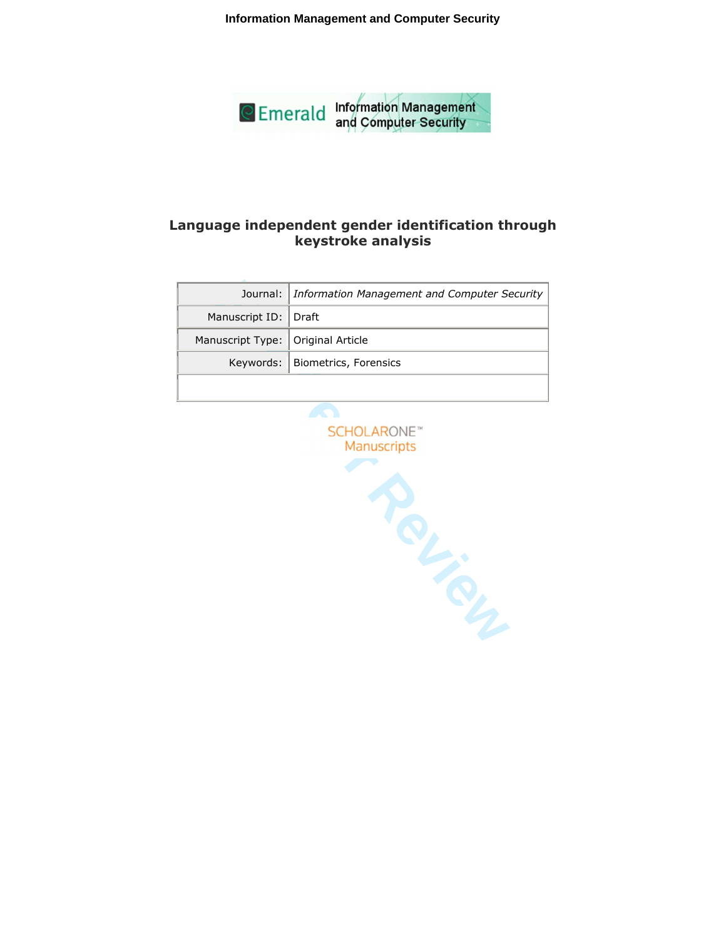**Information Management and Computer Security**



## **Language independent gender identification through keystroke analysis**

|                                     | Journal:   Information Management and Computer Security |
|-------------------------------------|---------------------------------------------------------|
| Manuscript ID: Draft                |                                                         |
| Manuscript Type:   Original Article |                                                         |
|                                     | Keywords:   Biometrics, Forensics                       |
|                                     |                                                         |

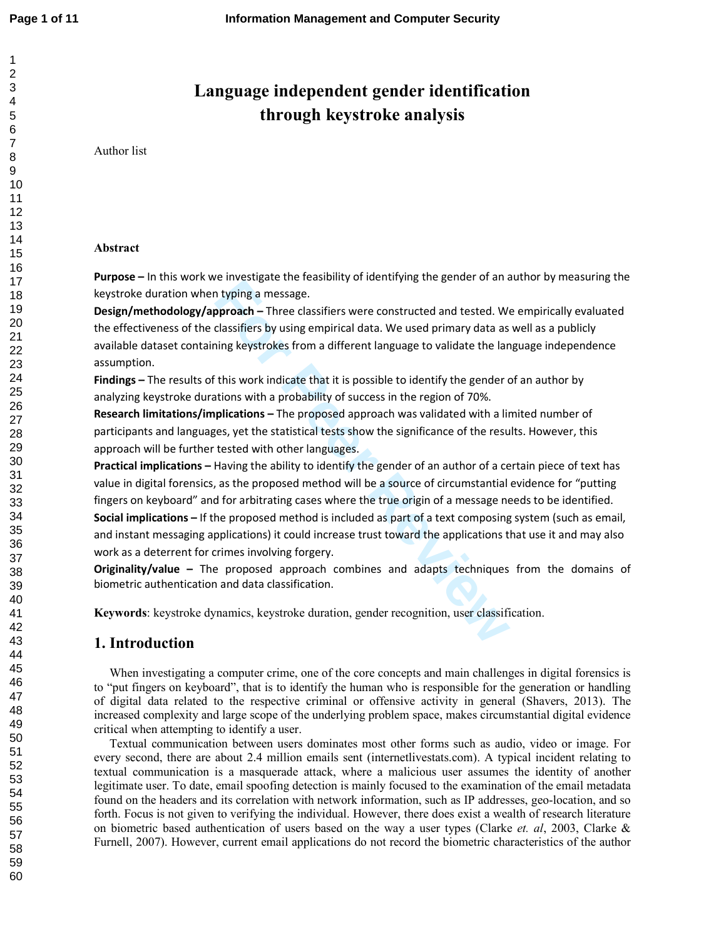$\mathbf{1}$ 

# **Language independent gender identification through keystroke analysis**

#### Author list

#### **Abstract**

**Purpose –** In this work we investigate the feasibility of identifying the gender of an author by measuring the keystroke duration when typing a message.

**Entired and the system Constraint Constrainer** and the substitute in typing a message.<br> **For Proceduse Constraint Constrainer and the system of the system of the system of classifiers by using empirical data. We used prim Design/methodology/approach –** Three classifiers were constructed and tested. We empirically evaluated the effectiveness of the classifiers by using empirical data. We used primary data as well as a publicly available dataset containing keystrokes from a different language to validate the language independence assumption.

**Findings –** The results of this work indicate that it is possible to identify the gender of an author by analyzing keystroke durations with a probability of success in the region of 70%.

**Research limitations/implications –** The proposed approach was validated with a limited number of participants and languages, yet the statistical tests show the significance of the results. However, this approach will be further tested with other languages.

**Practical implications –** Having the ability to identify the gender of an author of a certain piece of text has value in digital forensics, as the proposed method will be a source of circumstantial evidence for "putting fingers on keyboard" and for arbitrating cases where the true origin of a message needs to be identified.

**Social implications –** If the proposed method is included as part of a text composing system (such as email, and instant messaging applications) it could increase trust toward the applications that use it and may also work as a deterrent for crimes involving forgery.

**Originality/value –** The proposed approach combines and adapts techniques from the domains of biometric authentication and data classification.

**Keywords**: keystroke dynamics, keystroke duration, gender recognition, user classification.

### **1. Introduction**

When investigating a computer crime, one of the core concepts and main challenges in digital forensics is to "put fingers on keyboard", that is to identify the human who is responsible for the generation or handling of digital data related to the respective criminal or offensive activity in general (Shavers, 2013). The increased complexity and large scope of the underlying problem space, makes circumstantial digital evidence critical when attempting to identify a user.

Textual communication between users dominates most other forms such as audio, video or image. For every second, there are about 2.4 million emails sent (internetlivestats.com). A typical incident relating to textual communication is a masquerade attack, where a malicious user assumes the identity of another legitimate user. To date, email spoofing detection is mainly focused to the examination of the email metadata found on the headers and its correlation with network information, such as IP addresses, geo-location, and so forth. Focus is not given to verifying the individual. However, there does exist a wealth of research literature on biometric based authentication of users based on the way a user types (Clarke *et. al*, 2003, Clarke & Furnell, 2007). However, current email applications do not record the biometric characteristics of the author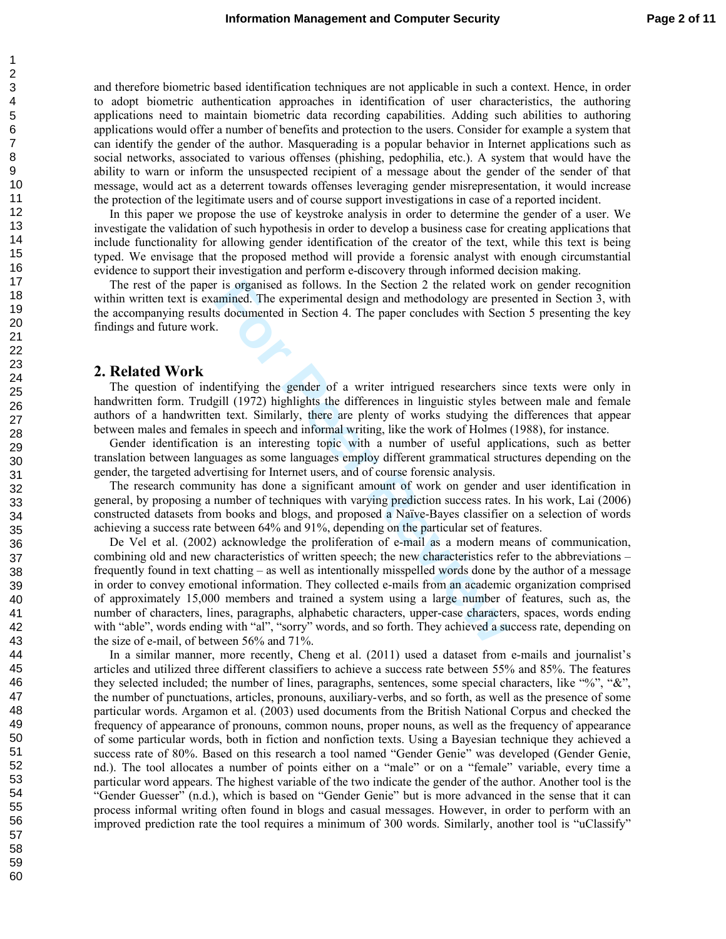and therefore biometric based identification techniques are not applicable in such a context. Hence, in order to adopt biometric authentication approaches in identification of user characteristics, the authoring applications need to maintain biometric data recording capabilities. Adding such abilities to authoring applications would offer a number of benefits and protection to the users. Consider for example a system that can identify the gender of the author. Masquerading is a popular behavior in Internet applications such as social networks, associated to various offenses (phishing, pedophilia, etc.). A system that would have the ability to warn or inform the unsuspected recipient of a message about the gender of the sender of that message, would act as a deterrent towards offenses leveraging gender misrepresentation, it would increase the protection of the legitimate users and of course support investigations in case of a reported incident.

In this paper we propose the use of keystroke analysis in order to determine the gender of a user. We investigate the validation of such hypothesis in order to develop a business case for creating applications that include functionality for allowing gender identification of the creator of the text, while this text is being typed. We envisage that the proposed method will provide a forensic analyst with enough circumstantial evidence to support their investigation and perform e-discovery through informed decision making.

The rest of the paper is organised as follows. In the Section 2 the related work on gender recognition within written text is examined. The experimental design and methodology are presented in Section 3, with the accompanying results documented in Section 4. The paper concludes with Section 5 presenting the key findings and future work.

#### **2. Related Work**

The question of indentifying the gender of a writer intrigued researchers since texts were only in handwritten form. Trudgill (1972) highlights the differences in linguistic styles between male and female authors of a handwritten text. Similarly, there are plenty of works studying the differences that appear between males and females in speech and informal writing, like the work of Holmes (1988), for instance.

Gender identification is an interesting topic with a number of useful applications, such as better translation between languages as some languages employ different grammatical structures depending on the gender, the targeted advertising for Internet users, and of course forensic analysis.

The research community has done a significant amount of work on gender and user identification in general, by proposing a number of techniques with varying prediction success rates. In his work, Lai (2006) constructed datasets from books and blogs, and proposed a Naïve-Bayes classifier on a selection of words achieving a success rate between 64% and 91%, depending on the particular set of features.

**For Peer Review** De Vel et al. (2002) acknowledge the proliferation of e-mail as a modern means of communication, combining old and new characteristics of written speech; the new characteristics refer to the abbreviations – frequently found in text chatting – as well as intentionally misspelled words done by the author of a message in order to convey emotional information. They collected e-mails from an academic organization comprised of approximately 15,000 members and trained a system using a large number of features, such as, the number of characters, lines, paragraphs, alphabetic characters, upper-case characters, spaces, words ending with "able", words ending with "al", "sorry" words, and so forth. They achieved a success rate, depending on the size of e-mail, of between 56% and 71%.

In a similar manner, more recently, Cheng et al. (2011) used a dataset from e-mails and journalist's articles and utilized three different classifiers to achieve a success rate between 55% and 85%. The features they selected included; the number of lines, paragraphs, sentences, some special characters, like "%", "&", the number of punctuations, articles, pronouns, auxiliary-verbs, and so forth, as well as the presence of some particular words. Argamon et al. (2003) used documents from the British National Corpus and checked the frequency of appearance of pronouns, common nouns, proper nouns, as well as the frequency of appearance of some particular words, both in fiction and nonfiction texts. Using a Bayesian technique they achieved a success rate of 80%. Based on this research a tool named "Gender Genie" was developed (Gender Genie, nd.). The tool allocates a number of points either on a "male" or on a "female" variable, every time a particular word appears. The highest variable of the two indicate the gender of the author. Another tool is the "Gender Guesser" (n.d.), which is based on "Gender Genie" but is more advanced in the sense that it can process informal writing often found in blogs and casual messages. However, in order to perform with an improved prediction rate the tool requires a minimum of 300 words. Similarly, another tool is "uClassify"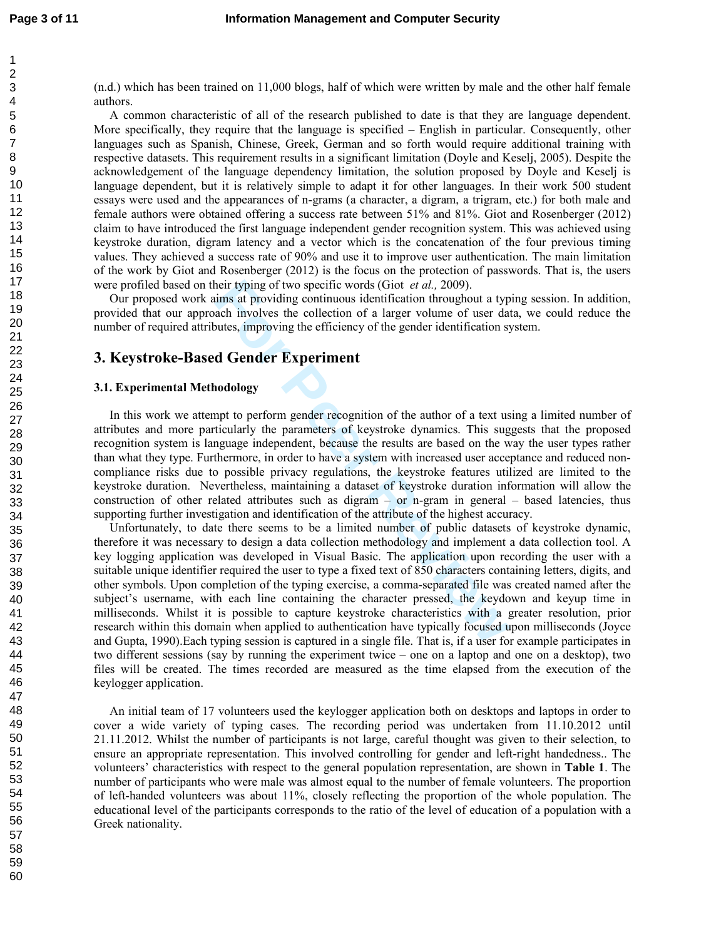(n.d.) which has been trained on 11,000 blogs, half of which were written by male and the other half female authors.

A common characteristic of all of the research published to date is that they are language dependent. More specifically, they require that the language is specified – English in particular. Consequently, other languages such as Spanish, Chinese, Greek, German and so forth would require additional training with respective datasets. This requirement results in a significant limitation (Doyle and Keselj, 2005). Despite the acknowledgement of the language dependency limitation, the solution proposed by Doyle and Keselj is language dependent, but it is relatively simple to adapt it for other languages. In their work 500 student essays were used and the appearances of n-grams (a character, a digram, a trigram, etc.) for both male and female authors were obtained offering a success rate between 51% and 81%. Giot and Rosenberger (2012) claim to have introduced the first language independent gender recognition system. This was achieved using keystroke duration, digram latency and a vector which is the concatenation of the four previous timing values. They achieved a success rate of 90% and use it to improve user authentication. The main limitation of the work by Giot and Rosenberger (2012) is the focus on the protection of passwords. That is, the users were profiled based on their typing of two specific words (Giot *et al.,* 2009).

Our proposed work aims at providing continuous identification throughout a typing session. In addition, provided that our approach involves the collection of a larger volume of user data, we could reduce the number of required attributes, improving the efficiency of the gender identification system.

### **3. Keystroke-Based Gender Experiment**

#### **3.1. Experimental Methodology**

In this work we attempt to perform gender recognition of the author of a text using a limited number of attributes and more particularly the parameters of keystroke dynamics. This suggests that the proposed recognition system is language independent, because the results are based on the way the user types rather than what they type. Furthermore, in order to have a system with increased user acceptance and reduced noncompliance risks due to possible privacy regulations, the keystroke features utilized are limited to the keystroke duration. Nevertheless, maintaining a dataset of keystroke duration information will allow the construction of other related attributes such as digram – or n-gram in general – based latencies, thus supporting further investigation and identification of the attribute of the highest accuracy.

heir typing of two specific words (Giot *et al.,* 2009).<br>
ims at providing continuous identification throughout a typ<br>
ach involves the collection of a larger volume of user dat<br>
untes, improving the efficiency of the gend Unfortunately, to date there seems to be a limited number of public datasets of keystroke dynamic, therefore it was necessary to design a data collection methodology and implement a data collection tool. A key logging application was developed in Visual Basic. The application upon recording the user with a suitable unique identifier required the user to type a fixed text of 850 characters containing letters, digits, and other symbols. Upon completion of the typing exercise, a comma-separated file was created named after the subject's username, with each line containing the character pressed, the keydown and keyup time in milliseconds. Whilst it is possible to capture keystroke characteristics with a greater resolution, prior research within this domain when applied to authentication have typically focused upon milliseconds (Joyce and Gupta, 1990).Each typing session is captured in a single file. That is, if a user for example participates in two different sessions (say by running the experiment twice – one on a laptop and one on a desktop), two files will be created. The times recorded are measured as the time elapsed from the execution of the keylogger application.

An initial team of 17 volunteers used the keylogger application both on desktops and laptops in order to cover a wide variety of typing cases. The recording period was undertaken from 11.10.2012 until 21.11.2012. Whilst the number of participants is not large, careful thought was given to their selection, to ensure an appropriate representation. This involved controlling for gender and left-right handedness.. The volunteers' characteristics with respect to the general population representation, are shown in **Table 1**. The number of participants who were male was almost equal to the number of female volunteers. The proportion of left-handed volunteers was about 11%, closely reflecting the proportion of the whole population. The educational level of the participants corresponds to the ratio of the level of education of a population with a Greek nationality.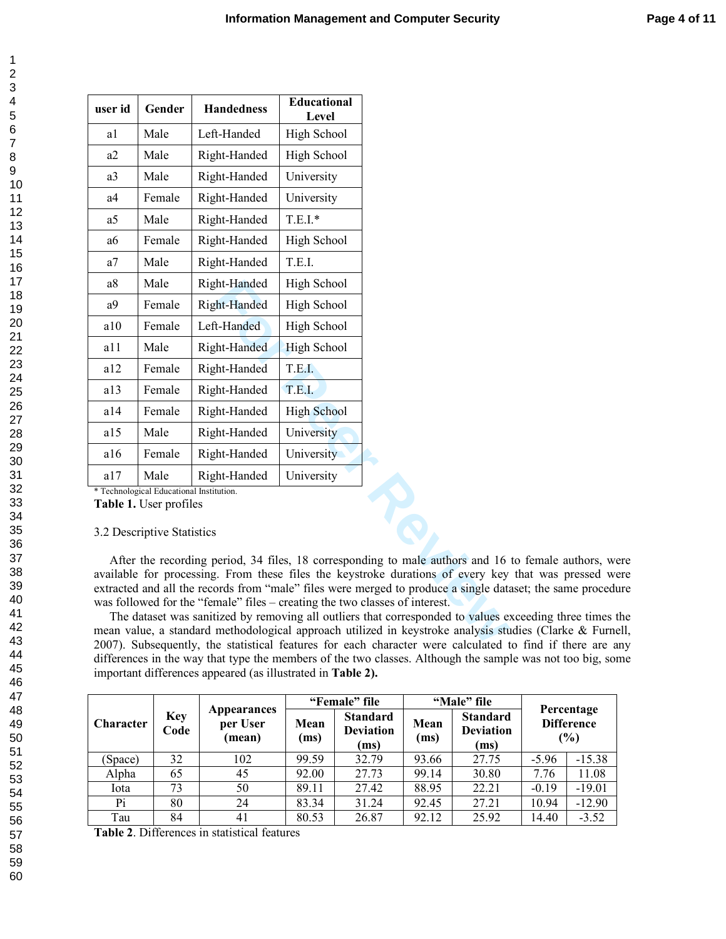| user id        | Gender                                                                                                  | <b>Handedness</b> | <b>Educational</b><br>Level |                                                                                                                                                                                                                                                                                                                                                                                                                                                                                                                                                                                                       |
|----------------|---------------------------------------------------------------------------------------------------------|-------------------|-----------------------------|-------------------------------------------------------------------------------------------------------------------------------------------------------------------------------------------------------------------------------------------------------------------------------------------------------------------------------------------------------------------------------------------------------------------------------------------------------------------------------------------------------------------------------------------------------------------------------------------------------|
| a1             | Male                                                                                                    | Left-Handed       | High School                 |                                                                                                                                                                                                                                                                                                                                                                                                                                                                                                                                                                                                       |
| a2             | Male                                                                                                    | Right-Handed      | High School                 |                                                                                                                                                                                                                                                                                                                                                                                                                                                                                                                                                                                                       |
| a <sub>3</sub> | Male                                                                                                    | Right-Handed      | University                  |                                                                                                                                                                                                                                                                                                                                                                                                                                                                                                                                                                                                       |
| a4             | Female                                                                                                  | Right-Handed      | University                  |                                                                                                                                                                                                                                                                                                                                                                                                                                                                                                                                                                                                       |
| a5             | Male                                                                                                    | Right-Handed      | $T.E.I.*$                   |                                                                                                                                                                                                                                                                                                                                                                                                                                                                                                                                                                                                       |
| a6             | Female                                                                                                  | Right-Handed      | High School                 |                                                                                                                                                                                                                                                                                                                                                                                                                                                                                                                                                                                                       |
| a7             | Male                                                                                                    | Right-Handed      | T.E.I.                      |                                                                                                                                                                                                                                                                                                                                                                                                                                                                                                                                                                                                       |
| a8             | Male                                                                                                    | Right-Handed      | High School                 |                                                                                                                                                                                                                                                                                                                                                                                                                                                                                                                                                                                                       |
| a <sup>9</sup> | Female                                                                                                  | Right-Handed      | High School                 |                                                                                                                                                                                                                                                                                                                                                                                                                                                                                                                                                                                                       |
| a10            | Female                                                                                                  | Left-Handed       | High School                 |                                                                                                                                                                                                                                                                                                                                                                                                                                                                                                                                                                                                       |
| a11            | Male                                                                                                    | Right-Handed      | <b>High School</b>          |                                                                                                                                                                                                                                                                                                                                                                                                                                                                                                                                                                                                       |
| a12            | Female                                                                                                  | Right-Handed      | <b>T.E.I.</b>               |                                                                                                                                                                                                                                                                                                                                                                                                                                                                                                                                                                                                       |
| a13            | Female                                                                                                  | Right-Handed      | T.E.I.                      |                                                                                                                                                                                                                                                                                                                                                                                                                                                                                                                                                                                                       |
| a14            | Female                                                                                                  | Right-Handed      | <b>High School</b>          |                                                                                                                                                                                                                                                                                                                                                                                                                                                                                                                                                                                                       |
| a15            | Male                                                                                                    | Right-Handed      | University                  |                                                                                                                                                                                                                                                                                                                                                                                                                                                                                                                                                                                                       |
| a16            | Female                                                                                                  | Right-Handed      | University                  |                                                                                                                                                                                                                                                                                                                                                                                                                                                                                                                                                                                                       |
| a17            | Male                                                                                                    | Right-Handed      | University                  |                                                                                                                                                                                                                                                                                                                                                                                                                                                                                                                                                                                                       |
|                | * Technological Educational Institution.<br><b>Table 1.</b> User profiles<br>3.2 Descriptive Statistics |                   |                             |                                                                                                                                                                                                                                                                                                                                                                                                                                                                                                                                                                                                       |
|                |                                                                                                         |                   |                             | After the recording period, 34 files, 18 corresponding to male authors and 16<br>available for processing. From these files the keystroke durations of every key<br>extracted and all the records from "male" files were merged to produce a single data<br>was followed for the "female" files - creating the two classes of interest.<br>The dataset was sanitized by removing all outliers that corresponded to values ex<br>mean value, a standard methodological approach utilized in keystroke analysis stu<br>2007) Subsequently the statistical features for each character were calculated t |

#### 3.2 Descriptive Statistics

After the recording period, 34 files, 18 corresponding to male authors and 16 to female authors, were available for processing. From these files the keystroke durations of every key that was pressed were extracted and all the records from "male" files were merged to produce a single dataset; the same procedure was followed for the "female" files – creating the two classes of interest.

The dataset was sanitized by removing all outliers that corresponded to values exceeding three times the mean value, a standard methodological approach utilized in keystroke analysis studies (Clarke & Furnell, 2007). Subsequently, the statistical features for each character were calculated to find if there are any differences in the way that type the members of the two classes. Although the sample was not too big, some important differences appeared (as illustrated in **Table 2).**

|                  |                    |                                          |              | "Female" file                               |              | "Male" file                                 |                                           |          |  |
|------------------|--------------------|------------------------------------------|--------------|---------------------------------------------|--------------|---------------------------------------------|-------------------------------------------|----------|--|
| <b>Character</b> | <b>Key</b><br>Code | <b>Appearances</b><br>per User<br>(mean) | Mean<br>(ms) | <b>Standard</b><br><b>Deviation</b><br>(ms) | Mean<br>(ms) | <b>Standard</b><br><b>Deviation</b><br>(ms) | Percentage<br><b>Difference</b><br>$(\%)$ |          |  |
| (Space)          | 32                 | 102                                      | 99.59        | 32.79                                       | 93.66        | 27.75                                       | $-5.96$                                   | $-15.38$ |  |
| Alpha            | 65                 | 45                                       | 92.00        | 27.73                                       | 99.14        | 30.80                                       | 7.76                                      | 11.08    |  |
| Iota             | 73                 | 50                                       | 89.11        | 27.42                                       | 88.95        | 22.21                                       | $-0.19$                                   | $-19.01$ |  |
| Pi               | 80                 | 24                                       | 83.34        | 31.24                                       | 92.45        | 27.21                                       | 10.94                                     | $-12.90$ |  |
| Tau              | 84                 | 41                                       | 80.53        | 26.87                                       | 92.12        | 25.92                                       | 14.40                                     | $-3.52$  |  |

**Table 2**. Differences in statistical features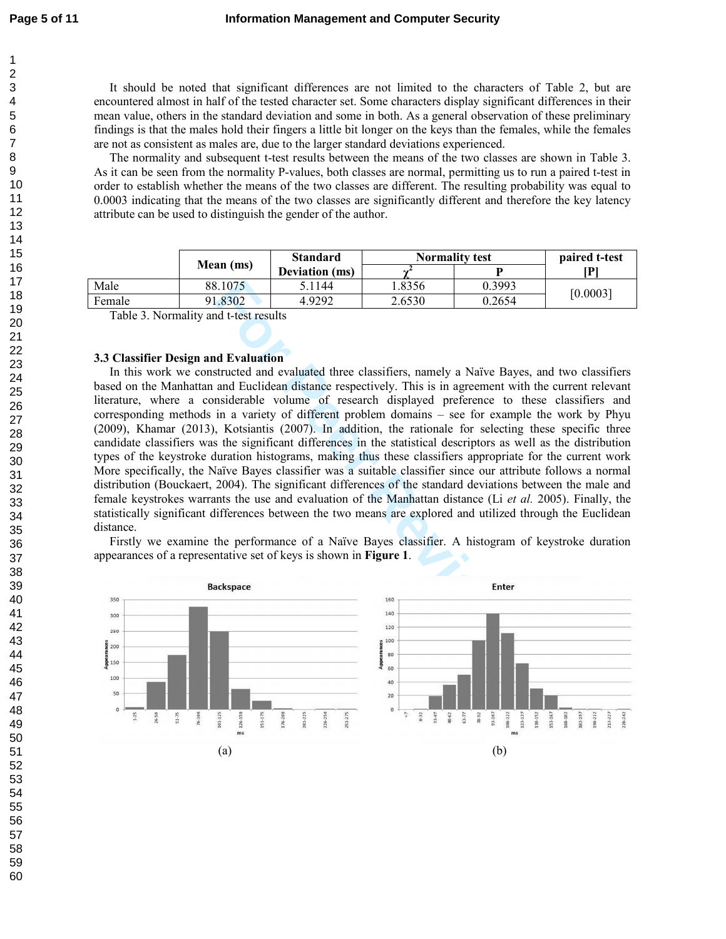It should be noted that significant differences are not limited to the characters of Table 2, but are encountered almost in half of the tested character set. Some characters display significant differences in their mean value, others in the standard deviation and some in both. As a general observation of these preliminary findings is that the males hold their fingers a little bit longer on the keys than the females, while the females are not as consistent as males are, due to the larger standard deviations experienced.

The normality and subsequent t-test results between the means of the two classes are shown in Table 3. As it can be seen from the normality P-values, both classes are normal, permitting us to run a paired t-test in order to establish whether the means of the two classes are different. The resulting probability was equal to 0.0003 indicating that the means of the two classes are significantly different and therefore the key latency attribute can be used to distinguish the gender of the author.

|        | Mean (ms) | <b>Standard</b>       |        | <b>Normality test</b> | paired t-test |
|--------|-----------|-----------------------|--------|-----------------------|---------------|
|        |           | <b>Deviation</b> (ms) |        |                       | ſР            |
| Male   | 88.1075   | 5.1144                | .8356  | 0.3993                | [0.0003]      |
| Female | 91.8302   | 4.9292                | 2.6530 | 0.2654                |               |

Table 3. Normality and t-test results

#### **3.3 Classifier Design and Evaluation**

**For Perronnial Consumers Control** 1.8356 0.399<br> **For Peer Review 1.8356** 0.399<br> **For Peer Review 1.8356** 0.265<br> **For Peer Review 1.8356** 0.265<br> **For Peer Review 1.8356** 0.265<br> **For Peer Review 1.856** 1.85 in agreement and In this work we constructed and evaluated three classifiers, namely a Naïve Bayes, and two classifiers based on the Manhattan and Euclidean distance respectively. This is in agreement with the current relevant literature, where a considerable volume of research displayed preference to these classifiers and corresponding methods in a variety of different problem domains – see for example the work by Phyu (2009), Khamar (2013), Kotsiantis (2007). In addition, the rationale for selecting these specific three candidate classifiers was the significant differences in the statistical descriptors as well as the distribution types of the keystroke duration histograms, making thus these classifiers appropriate for the current work More specifically, the Naïve Bayes classifier was a suitable classifier since our attribute follows a normal distribution (Bouckaert, 2004). The significant differences of the standard deviations between the male and female keystrokes warrants the use and evaluation of the Manhattan distance (Li *et al.* 2005). Finally, the statistically significant differences between the two means are explored and utilized through the Euclidean distance.

Firstly we examine the performance of a Naïve Bayes classifier. A histogram of keystroke duration appearances of a representative set of keys is shown in **Figure 1**.

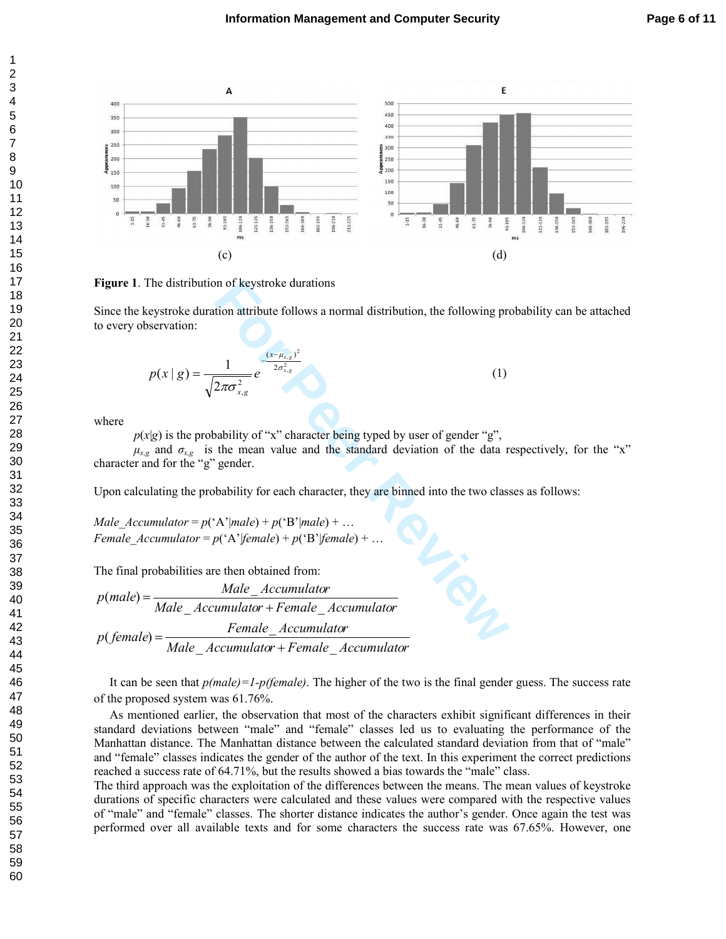

**Figure 1**. The distribution of keystroke durations

Since the keystroke duration attribute follows a normal distribution, the following probability can be attached to every observation:

The distribution of keystroke durations  
eeystroke duration attribute follows a normal distribution, the following pro  
serveration:  

$$
p(x | g) = \frac{1}{\sqrt{2\pi\sigma_{x,g}^2}} e^{-\frac{(x - \mu_{x,g})^2}{2\sigma_{x,g}^2}}
$$
(1)  
Using the probability of "x" character being typed by user of gender "g",  
and  $\sigma_{x,g}$  is the mean value and the standard deviation of the data r  
and for the "g" gender.  
ultating the probability for each character, they are binned into the two class  
umulator =  $p(^{\circ}A^{\circ} | male) + p(^{\circ}B^{\circ} | male) + ...$   
exumulator =  $p(^{\circ}A^{\circ} | female) + p(^{\circ}B^{\circ} | female) + ...$   
probabilities are then obtained from:  

$$
\frac{Male\_Accumulator}{Male\_Accumulator + Female\_Accumulator}
$$
  

$$
= \frac{Female\_Accumulator}{Mean\_Accumulator}
$$

where

 $p(x|g)$  is the probability of "x" character being typed by user of gender "g",

 $\mu_{x,g}$  and  $\sigma_{x,g}$  is the mean value and the standard deviation of the data respectively, for the "x" character and for the "g" gender.

Upon calculating the probability for each character, they are binned into the two classes as follows:

 $Male\_Accumulator = p(^{A'}|male) + p(^{B'}|male) + ...$  $Female\_Accumulator = p('A']{female} + p('B']{female}) + ...$ 

The final probabilities are then obtained from:

$$
p(male) = \frac{Male\_Accumulator}{Male\_Accumulator + Female\_Accumulator}
$$
  

$$
female\_Accumulator
$$

*Male Accumulator Female Accumulator* \_ \_ + p(female) =

It can be seen that *p(male)=1-p(female)*. The higher of the two is the final gender guess. The success rate of the proposed system was 61.76%.

As mentioned earlier, the observation that most of the characters exhibit significant differences in their standard deviations between "male" and "female" classes led us to evaluating the performance of the Manhattan distance. The Manhattan distance between the calculated standard deviation from that of "male" and "female" classes indicates the gender of the author of the text. In this experiment the correct predictions reached a success rate of 64.71%, but the results showed a bias towards the "male" class.

The third approach was the exploitation of the differences between the means. The mean values of keystroke durations of specific characters were calculated and these values were compared with the respective values of "male" and "female" classes. The shorter distance indicates the author's gender. Once again the test was performed over all available texts and for some characters the success rate was 67.65%. However, one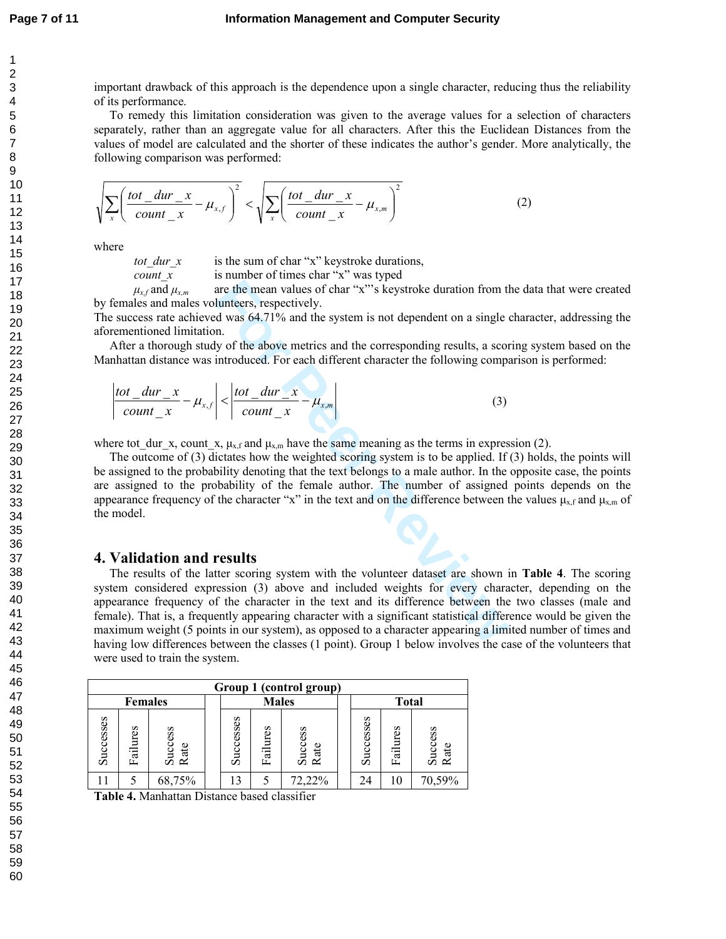important drawback of this approach is the dependence upon a single character, reducing thus the reliability of its performance.

To remedy this limitation consideration was given to the average values for a selection of characters separately, rather than an aggregate value for all characters. After this the Euclidean Distances from the values of model are calculated and the shorter of these indicates the author's gender. More analytically, the following comparison was performed:

$$
\sqrt{\sum_{x} \left(\frac{tot\_dur_x}{count\_x} - \mu_{x,f}\right)^2} < \sqrt{\sum_{x} \left(\frac{tot\_dur_x}{count\_x} - \mu_{x,m}\right)^2}
$$
(2)

where

*tot dur x* is the sum of char "x" keystroke durations, *count x* is number of times char "x" was typed

 $\mu_{x,f}$  and  $\mu_{x,m}$  are the mean values of char "x"'s keystroke duration from the data that were created by females and males volunteers, respectively.

The success rate achieved was 64.71% and the system is not dependent on a single character, addressing the aforementioned limitation.

After a thorough study of the above metrics and the corresponding results, a scoring system based on the Manhattan distance was introduced. For each different character the following comparison is performed:

$$
\left|\frac{tot\_dur_x}{count_x} - \mu_{x,f}\right| < \left|\frac{tot\_dur_x}{count_x} - \mu_{x,m}\right|
$$
\n(3)

where tot\_dur\_x, count\_x,  $\mu_{x,f}$  and  $\mu_{x,m}$  have the same meaning as the terms in expression (2).

The outcome of (3) dictates how the weighted scoring system is to be applied. If (3) holds, the points will be assigned to the probability denoting that the text belongs to a male author. In the opposite case, the points are assigned to the probability of the female author. The number of assigned points depends on the appearance frequency of the character "x" in the text and on the difference between the values  $\mu_{x,f}$  and  $\mu_{x,m}$  of the model.

#### **4. Validation and results**

For the mean values of char "x"'s keystroke duration from the<br>
lunteers, respectively.<br>
Inteers, respectively.<br>
Inteers, respectively.<br>
In the system is not dependent on a single duration from the<br>
Interest and the system The results of the latter scoring system with the volunteer dataset are shown in **Table 4**. The scoring system considered expression (3) above and included weights for every character, depending on the appearance frequency of the character in the text and its difference between the two classes (male and female). That is, a frequently appearing character with a significant statistical difference would be given the maximum weight (5 points in our system), as opposed to a character appearing a limited number of times and having low differences between the classes (1 point). Group 1 below involves the case of the volunteers that were used to train the system.

|           |                |                                |                 |                        | Group 1 (control group) |               |              |                 |
|-----------|----------------|--------------------------------|-----------------|------------------------|-------------------------|---------------|--------------|-----------------|
|           | <b>Females</b> |                                |                 | <b>Males</b>           |                         |               | <b>Total</b> |                 |
| Successes | ures<br>Fail   | $\frac{65}{5}$<br>Succ<br>Rate | esses<br>S<br>Ď | æ,<br>ੰਡ<br><u>іт.</u> | ess<br>Succ<br>ate      | esses<br>Succ | Failures     | Success<br>Rate |
|           |                | 68,75%                         |                 |                        | 72,22%                  | 24            |              | 70,59%          |

**Table 4.** Manhattan Distance based classifier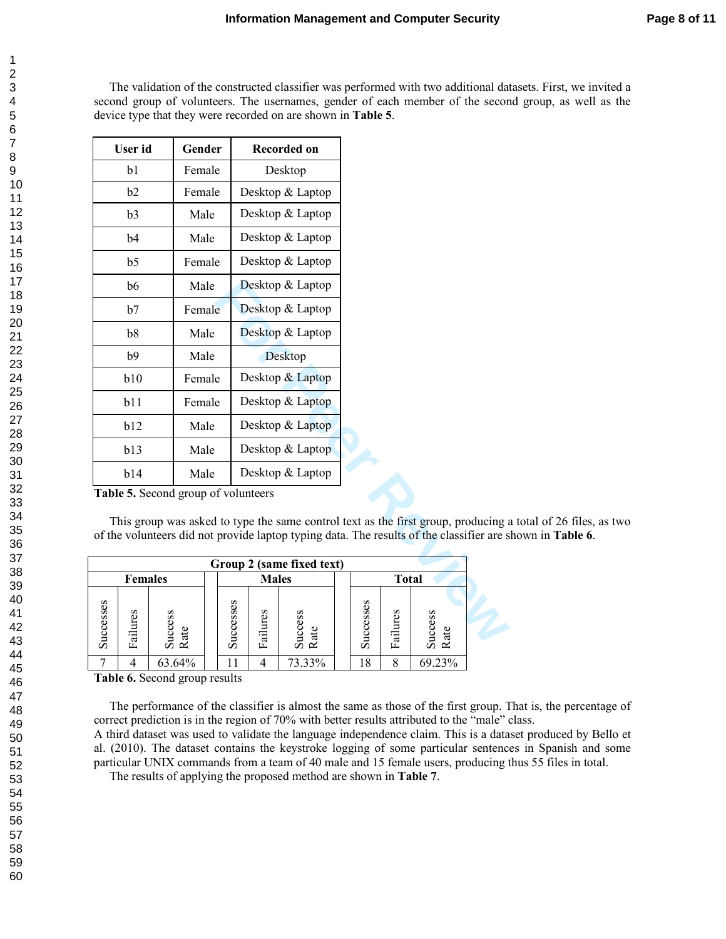1

The validation of the constructed classifier was performed with two additional datasets. First, we invited a second group of volunteers. The usernames, gender of each member of the second group, as well as the device type that they were recorded on are shown in **Table 5**.

|           | <b>User</b> id |        | Gender |        |                                                                                                                                                                                                                                                                                                                                                                                                                                                                                                                                                                 |  |  |  |           |              |             |  |  |  |  |
|-----------|----------------|--------|--------|--------|-----------------------------------------------------------------------------------------------------------------------------------------------------------------------------------------------------------------------------------------------------------------------------------------------------------------------------------------------------------------------------------------------------------------------------------------------------------------------------------------------------------------------------------------------------------------|--|--|--|-----------|--------------|-------------|--|--|--|--|
|           | b1             |        | Female |        |                                                                                                                                                                                                                                                                                                                                                                                                                                                                                                                                                                 |  |  |  |           |              |             |  |  |  |  |
|           | b2             |        | Female |        |                                                                                                                                                                                                                                                                                                                                                                                                                                                                                                                                                                 |  |  |  |           |              |             |  |  |  |  |
|           | b3             |        | Male   |        |                                                                                                                                                                                                                                                                                                                                                                                                                                                                                                                                                                 |  |  |  |           |              |             |  |  |  |  |
|           | b4             |        | Male   |        |                                                                                                                                                                                                                                                                                                                                                                                                                                                                                                                                                                 |  |  |  |           |              |             |  |  |  |  |
|           | b <sub>5</sub> |        | Female |        | <b>Recorded on</b><br>Desktop<br>Desktop & Laptop<br>Desktop & Laptop<br>Desktop & Laptop<br>Desktop & Laptop<br>Desktop & Laptop<br>Desktop & Laptop<br>Desktop & Laptop<br>Desktop<br>Desktop & Laptop<br>Desktop & Laptop<br>Desktop & Laptop<br>Desktop & Laptop<br>Desktop & Laptop<br>Table 5. Second group of volunteers<br>This group was asked to type the same control text as the first group, producing a<br>of the volunteers did not provide laptop typing data. The results of the classifier are s<br>Group 2 (same fixed text)<br><b>Males</b> |  |  |  |           |              |             |  |  |  |  |
|           | b <sub>6</sub> |        | Male   |        |                                                                                                                                                                                                                                                                                                                                                                                                                                                                                                                                                                 |  |  |  |           |              |             |  |  |  |  |
|           | b7             |        | Female |        |                                                                                                                                                                                                                                                                                                                                                                                                                                                                                                                                                                 |  |  |  |           |              |             |  |  |  |  |
|           | b8             |        | Male   |        |                                                                                                                                                                                                                                                                                                                                                                                                                                                                                                                                                                 |  |  |  |           |              |             |  |  |  |  |
|           | b9             |        |        | Male   | uccesses<br>uccess<br><b>Rate</b>                                                                                                                                                                                                                                                                                                                                                                                                                                                                                                                               |  |  |  |           |              |             |  |  |  |  |
|           | b10            |        | Female |        |                                                                                                                                                                                                                                                                                                                                                                                                                                                                                                                                                                 |  |  |  |           |              |             |  |  |  |  |
|           | b11            |        |        | Female |                                                                                                                                                                                                                                                                                                                                                                                                                                                                                                                                                                 |  |  |  |           |              |             |  |  |  |  |
|           | b12            | Male   |        |        |                                                                                                                                                                                                                                                                                                                                                                                                                                                                                                                                                                 |  |  |  |           |              |             |  |  |  |  |
|           | b13            |        | Male   |        |                                                                                                                                                                                                                                                                                                                                                                                                                                                                                                                                                                 |  |  |  |           |              |             |  |  |  |  |
|           | b14            |        | Male   |        |                                                                                                                                                                                                                                                                                                                                                                                                                                                                                                                                                                 |  |  |  |           |              |             |  |  |  |  |
|           |                |        |        |        |                                                                                                                                                                                                                                                                                                                                                                                                                                                                                                                                                                 |  |  |  |           |              |             |  |  |  |  |
|           |                |        |        |        |                                                                                                                                                                                                                                                                                                                                                                                                                                                                                                                                                                 |  |  |  |           |              |             |  |  |  |  |
|           |                |        |        |        |                                                                                                                                                                                                                                                                                                                                                                                                                                                                                                                                                                 |  |  |  |           |              |             |  |  |  |  |
|           | <b>Females</b> |        |        |        |                                                                                                                                                                                                                                                                                                                                                                                                                                                                                                                                                                 |  |  |  |           | <b>Total</b> |             |  |  |  |  |
| Successes |                | uccess | ate    |        |                                                                                                                                                                                                                                                                                                                                                                                                                                                                                                                                                                 |  |  |  | Successes | ailures      | <b>late</b> |  |  |  |  |

This group was asked to type the same control text as the first group, producing a total of 26 files, as two of the volunteers did not provide laptop typing data. The results of the classifier are shown in **Table 6**.

|           |                |                 |           |                  | Group 2 (same fixed text) |           |               |                 |  |
|-----------|----------------|-----------------|-----------|------------------|---------------------------|-----------|---------------|-----------------|--|
|           | <b>Females</b> |                 |           | <b>Males</b>     |                           |           | <b>Total</b>  |                 |  |
| Successes | Failures       | Success<br>Rate | Successes | S<br>ailur<br>Œ. | Success<br>Rate           | Successes | lures<br>Fail | Success<br>Rate |  |
|           |                | 53.64%          |           |                  | 73.33%                    | 18        | 8             | 69.23%          |  |

**Table 6.** Second group results

The performance of the classifier is almost the same as those of the first group. That is, the percentage of correct prediction is in the region of 70% with better results attributed to the "male" class.

A third dataset was used to validate the language independence claim. This is a dataset produced by Bello et al. (2010). The dataset contains the keystroke logging of some particular sentences in Spanish and some particular UNIX commands from a team of 40 male and 15 female users, producing thus 55 files in total.

The results of applying the proposed method are shown in **Table 7**.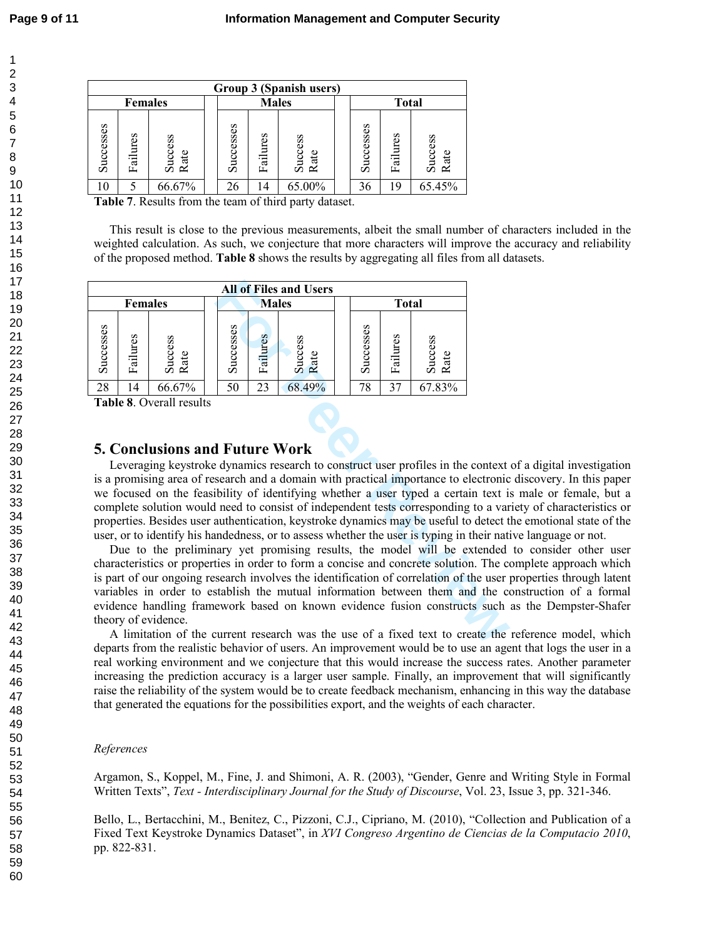|           |                |                     |           |              | Group 3 (Spanish users)         |           |              |                        |
|-----------|----------------|---------------------|-----------|--------------|---------------------------------|-----------|--------------|------------------------|
|           | <b>Females</b> |                     |           | <b>Males</b> |                                 |           | <b>Total</b> |                        |
| Successes | Failures       | SS<br>Succo<br>Rate | Successes | Failures     | $\cos$<br>Succ<br>ate<br>$\sim$ | Successes | Failures     | <b>Success</b><br>Rate |
| l O       |                | 66.67%              | 26        | 14           | 65.00%                          | 36        | 19           | 65.45%                 |

**Table 7**. Results from the team of third party dataset.

This result is close to the previous measurements, albeit the small number of characters included in the weighted calculation. As such, we conjecture that more characters will improve the accuracy and reliability of the proposed method. **Table 8** shows the results by aggregating all files from all datasets.

|                 |                                |                          |  |           |          | <b>All of Files and Users</b> |  |           |              |                                                                                                                                                                                                                                                                                                                                                                                                                              |  |
|-----------------|--------------------------------|--------------------------|--|-----------|----------|-------------------------------|--|-----------|--------------|------------------------------------------------------------------------------------------------------------------------------------------------------------------------------------------------------------------------------------------------------------------------------------------------------------------------------------------------------------------------------------------------------------------------------|--|
|                 | <b>Females</b><br><b>Males</b> |                          |  |           |          |                               |  |           | <b>Total</b> |                                                                                                                                                                                                                                                                                                                                                                                                                              |  |
| Successes       | Failures                       | Success<br>Rate          |  | Successes | Failures | Success<br>Rate               |  | Successes | Failures     | Success<br>Rate                                                                                                                                                                                                                                                                                                                                                                                                              |  |
| $\overline{28}$ | 14                             | 66.67%                   |  | 50        | 23       | 68.49%                        |  | 78        | 37           | 67.83%                                                                                                                                                                                                                                                                                                                                                                                                                       |  |
|                 |                                | Table 8. Overall results |  |           |          |                               |  |           |              |                                                                                                                                                                                                                                                                                                                                                                                                                              |  |
|                 |                                |                          |  |           |          |                               |  |           |              | is a promising area of research and a domain with practical importance to electronic<br>we focused on the feasibility of identifying whether a user typed a certain text is<br>complete solution would need to consist of independent tests corresponding to a var<br>properties. Besides user authentication, keystroke dynamics may be useful to detect t                                                                  |  |
|                 |                                |                          |  |           |          |                               |  |           |              | user, or to identify his handedness, or to assess whether the user is typing in their nati                                                                                                                                                                                                                                                                                                                                   |  |
|                 |                                |                          |  |           |          |                               |  |           |              | Due to the preliminary yet promising results, the model will be extended<br>characteristics or properties in order to form a concise and concrete solution. The co<br>is part of our ongoing research involves the identification of correlation of the user<br>variables in order to establish the mutual information between them and the co<br>evidence handling framework based on known evidence fusion constructs such |  |
|                 |                                | theory of evidence.      |  |           |          |                               |  |           |              |                                                                                                                                                                                                                                                                                                                                                                                                                              |  |
|                 |                                |                          |  |           |          |                               |  |           |              | A limitation of the current research was the use of a fixed text to create the                                                                                                                                                                                                                                                                                                                                               |  |

# **5. Conclusions and Future Work**

Leveraging keystroke dynamics research to construct user profiles in the context of a digital investigation is a promising area of research and a domain with practical importance to electronic discovery. In this paper we focused on the feasibility of identifying whether a user typed a certain text is male or female, but a complete solution would need to consist of independent tests corresponding to a variety of characteristics or properties. Besides user authentication, keystroke dynamics may be useful to detect the emotional state of the user, or to identify his handedness, or to assess whether the user is typing in their native language or not.

Due to the preliminary yet promising results, the model will be extended to consider other user characteristics or properties in order to form a concise and concrete solution. The complete approach which is part of our ongoing research involves the identification of correlation of the user properties through latent variables in order to establish the mutual information between them and the construction of a formal evidence handling framework based on known evidence fusion constructs such as the Dempster-Shafer theory of evidence.

A limitation of the current research was the use of a fixed text to create the reference model, which departs from the realistic behavior of users. An improvement would be to use an agent that logs the user in a real working environment and we conjecture that this would increase the success rates. Another parameter increasing the prediction accuracy is a larger user sample. Finally, an improvement that will significantly raise the reliability of the system would be to create feedback mechanism, enhancing in this way the database that generated the equations for the possibilities export, and the weights of each character.

### *References*

Argamon, S., Koppel, M., Fine, J. and Shimoni, A. R. (2003), "Gender, Genre and Writing Style in Formal Written Texts", *Text - Interdisciplinary Journal for the Study of Discourse*, Vol. 23, Issue 3, pp. 321-346.

Bello, L., Bertacchini, M., Benitez, C., Pizzoni, C.J., Cipriano, M. (2010), "Collection and Publication of a Fixed Text Keystroke Dynamics Dataset", in *XVI Congreso Argentino de Ciencias de la Computacio 2010*, pp. 822-831.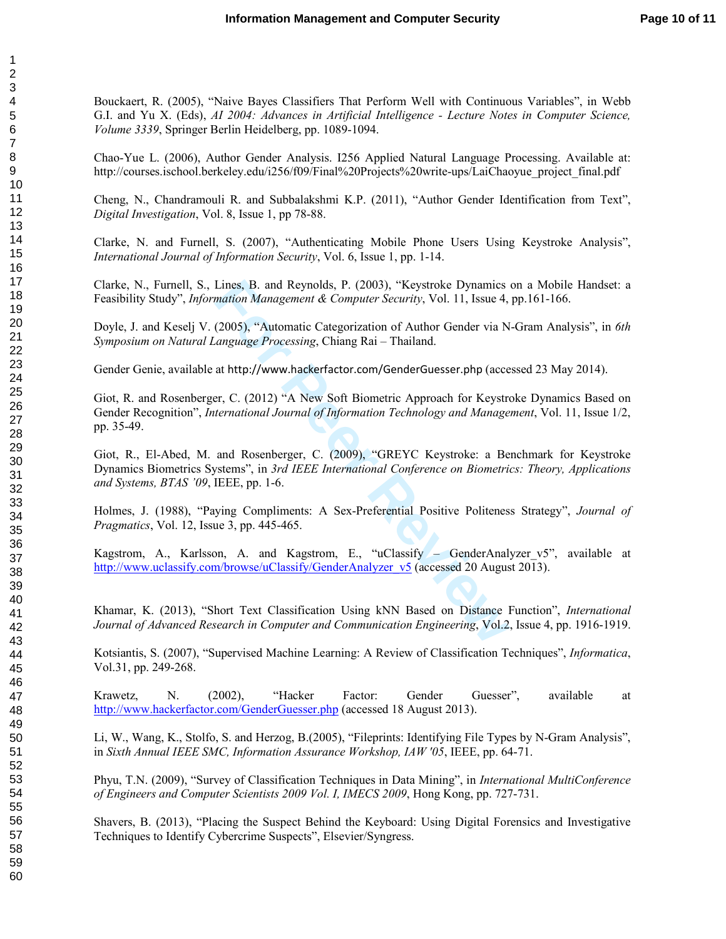Bouckaert, R. (2005), "Naive Bayes Classifiers That Perform Well with Continuous Variables", in Webb G.I. and Yu X. (Eds), *AI 2004: Advances in Artificial Intelligence - Lecture Notes in Computer Science, Volume 3339*, Springer Berlin Heidelberg, pp. 1089-1094.

Chao-Yue L. (2006), Author Gender Analysis. I256 Applied Natural Language Processing. Available at: http://courses.ischool.berkeley.edu/i256/f09/Final%20Projects%20write-ups/LaiChaoyue project final.pdf

Cheng, N., Chandramouli R. and Subbalakshmi K.P. (2011), "Author Gender Identification from Text", *Digital Investigation*, Vol. 8, Issue 1, pp 78-88.

Clarke, N. and Furnell, S. (2007), "Authenticating Mobile Phone Users Using Keystroke Analysis", *International Journal of Information Security*, Vol. 6, Issue 1, pp. 1-14.

Clarke, N., Furnell, S., Lines, B. and Reynolds, P. (2003), "Keystroke Dynamics on a Mobile Handset: a Feasibility Study", *Information Management & Computer Security*, Vol. 11, Issue 4, pp.161-166.

Doyle, J. and Keselj V. (2005), "Automatic Categorization of Author Gender via N-Gram Analysis", in *6th Symposium on Natural Language Processing*, Chiang Rai – Thailand.

Gender Genie, available at http://www.hackerfactor.com/GenderGuesser.php (accessed 23 May 2014).

Giot, R. and Rosenberger, C. (2012) "A New Soft Biometric Approach for Keystroke Dynamics Based on Gender Recognition", *International Journal of Information Technology and Management*, Vol. 11, Issue 1/2, pp. 35-49.

Lines, B. and Reynolds, P. (2003), "Keystroke Dynamics<br>mation Management & Computer Security, Vol. 11, Issue 4,<br>(2005), "Automatic Categorization of Author Gender via N<br>anguage Processing, Chiang Rai – Thailand.<br>at http:// Giot, R., El-Abed, M. and Rosenberger, C. (2009), "GREYC Keystroke: a Benchmark for Keystroke Dynamics Biometrics Systems", in *3rd IEEE International Conference on Biometrics: Theory, Applications and Systems, BTAS '09*, IEEE, pp. 1-6.

Holmes, J. (1988), "Paying Compliments: A Sex-Preferential Positive Politeness Strategy", *Journal of Pragmatics*, Vol. 12, Issue 3, pp. 445-465.

Kagstrom, A., Karlsson, A. and Kagstrom, E., "uClassify - GenderAnalyzer v5", available at http://www.uclassify.com/browse/uClassify/GenderAnalyzer\_v5 (accessed 20 August 2013).

Khamar, K. (2013), "Short Text Classification Using kNN Based on Distance Function", *International Journal of Advanced Research in Computer and Communication Engineering*, Vol.2, Issue 4, pp. 1916-1919.

Kotsiantis, S. (2007), "Supervised Machine Learning: A Review of Classification Techniques", *Informatica*, Vol.31, pp. 249-268.

Krawetz, N. (2002), "Hacker Factor: Gender Guesser", available at http://www.hackerfactor.com/GenderGuesser.php (accessed 18 August 2013).

Li, W., Wang, K., Stolfo, S. and Herzog, B.(2005), "Fileprints: Identifying File Types by N-Gram Analysis", in *Sixth Annual IEEE SMC, Information Assurance Workshop, IAW '05*, IEEE, pp. 64-71.

Phyu, T.N. (2009), "Survey of Classification Techniques in Data Mining", in *International MultiConference of Engineers and Computer Scientists 2009 Vol. I, IMECS 2009*, Hong Kong, pp. 727-731.

Shavers, B. (2013), "Placing the Suspect Behind the Keyboard: Using Digital Forensics and Investigative Techniques to Identify Cybercrime Suspects", Elsevier/Syngress.

 $\mathbf{1}$